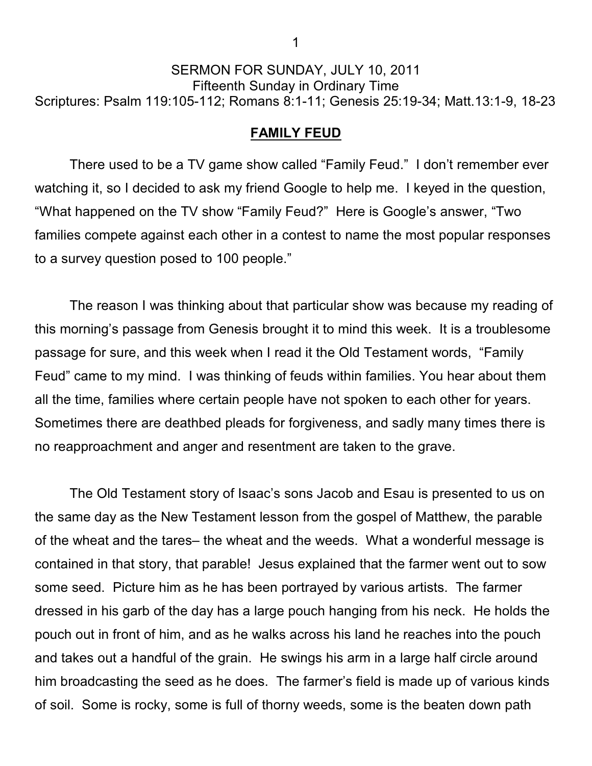## SERMON FOR SUNDAY, JULY 10, 2011 Fifteenth Sunday in Ordinary Time Scriptures: Psalm 119:105-112; Romans 8:1-11; Genesis 25:19-34; Matt.13:1-9, 18-23

## **FAMILY FEUD**

There used to be a TV game show called "Family Feud." I don't remember ever watching it, so I decided to ask my friend Google to help me. I keyed in the question, "What happened on the TV show "Family Feud?" Here is Google's answer, "Two families compete against each other in a contest to name the most popular responses to a survey question posed to 100 people."

The reason I was thinking about that particular show was because my reading of this morning's passage from Genesis brought it to mind this week. It is a troublesome passage for sure, and this week when I read it the Old Testament words, "Family Feud" came to my mind. I was thinking of feuds within families. You hear about them all the time, families where certain people have not spoken to each other for years. Sometimes there are deathbed pleads for forgiveness, and sadly many times there is no reapproachment and anger and resentment are taken to the grave.

The Old Testament story of Isaac's sons Jacob and Esau is presented to us on the same day as the New Testament lesson from the gospel of Matthew, the parable of the wheat and the tares– the wheat and the weeds. What a wonderful message is contained in that story, that parable! Jesus explained that the farmer went out to sow some seed. Picture him as he has been portrayed by various artists. The farmer dressed in his garb of the day has a large pouch hanging from his neck. He holds the pouch out in front of him, and as he walks across his land he reaches into the pouch and takes out a handful of the grain. He swings his arm in a large half circle around him broadcasting the seed as he does. The farmer's field is made up of various kinds of soil. Some is rocky, some is full of thorny weeds, some is the beaten down path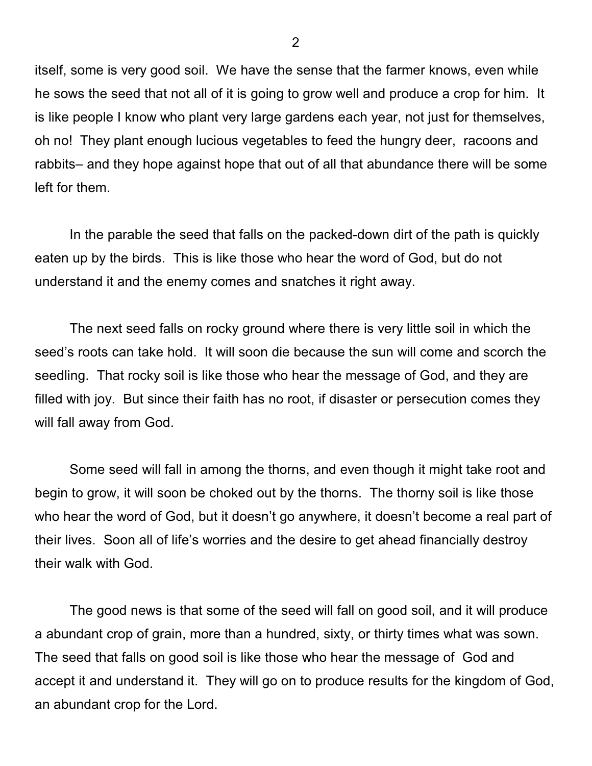itself, some is very good soil. We have the sense that the farmer knows, even while he sows the seed that not all of it is going to grow well and produce a crop for him. It is like people I know who plant very large gardens each year, not just for themselves, oh no! They plant enough lucious vegetables to feed the hungry deer, racoons and rabbits– and they hope against hope that out of all that abundance there will be some left for them.

In the parable the seed that falls on the packed-down dirt of the path is quickly eaten up by the birds. This is like those who hear the word of God, but do not understand it and the enemy comes and snatches it right away.

The next seed falls on rocky ground where there is very little soil in which the seed's roots can take hold. It will soon die because the sun will come and scorch the seedling. That rocky soil is like those who hear the message of God, and they are filled with joy. But since their faith has no root, if disaster or persecution comes they will fall away from God.

Some seed will fall in among the thorns, and even though it might take root and begin to grow, it will soon be choked out by the thorns. The thorny soil is like those who hear the word of God, but it doesn't go anywhere, it doesn't become a real part of their lives. Soon all of life's worries and the desire to get ahead financially destroy their walk with God.

The good news is that some of the seed will fall on good soil, and it will produce a abundant crop of grain, more than a hundred, sixty, or thirty times what was sown. The seed that falls on good soil is like those who hear the message of God and accept it and understand it. They will go on to produce results for the kingdom of God, an abundant crop for the Lord.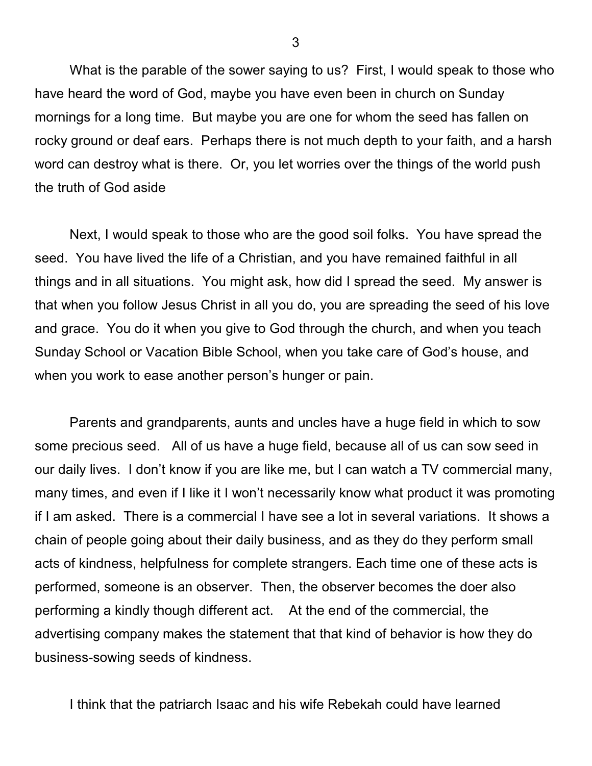What is the parable of the sower saying to us? First, I would speak to those who have heard the word of God, maybe you have even been in church on Sunday mornings for a long time. But maybe you are one for whom the seed has fallen on rocky ground or deaf ears. Perhaps there is not much depth to your faith, and a harsh word can destroy what is there. Or, you let worries over the things of the world push the truth of God aside

Next, I would speak to those who are the good soil folks. You have spread the seed. You have lived the life of a Christian, and you have remained faithful in all things and in all situations. You might ask, how did I spread the seed. My answer is that when you follow Jesus Christ in all you do, you are spreading the seed of his love and grace. You do it when you give to God through the church, and when you teach Sunday School or Vacation Bible School, when you take care of God's house, and when you work to ease another person's hunger or pain.

Parents and grandparents, aunts and uncles have a huge field in which to sow some precious seed. All of us have a huge field, because all of us can sow seed in our daily lives. I don't know if you are like me, but I can watch a TV commercial many, many times, and even if I like it I won't necessarily know what product it was promoting if I am asked. There is a commercial I have see a lot in several variations. It shows a chain of people going about their daily business, and as they do they perform small acts of kindness, helpfulness for complete strangers. Each time one of these acts is performed, someone is an observer. Then, the observer becomes the doer also performing a kindly though different act. At the end of the commercial, the advertising company makes the statement that that kind of behavior is how they do business-sowing seeds of kindness.

I think that the patriarch Isaac and his wife Rebekah could have learned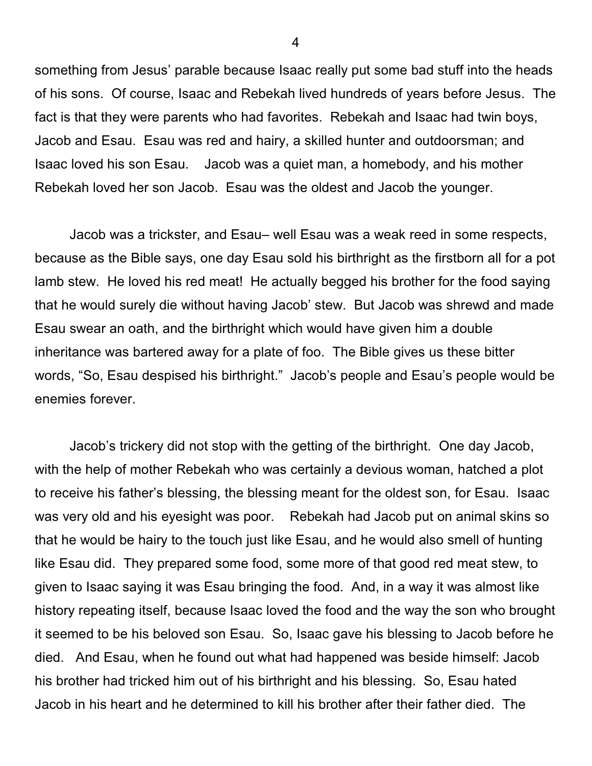something from Jesus' parable because Isaac really put some bad stuff into the heads of his sons. Of course, Isaac and Rebekah lived hundreds of years before Jesus. The fact is that they were parents who had favorites. Rebekah and Isaac had twin boys, Jacob and Esau. Esau was red and hairy, a skilled hunter and outdoorsman; and Isaac loved his son Esau. Jacob was a quiet man, a homebody, and his mother Rebekah loved her son Jacob. Esau was the oldest and Jacob the younger.

Jacob was a trickster, and Esau– well Esau was a weak reed in some respects, because as the Bible says, one day Esau sold his birthright as the firstborn all for a pot lamb stew. He loved his red meat! He actually begged his brother for the food saying that he would surely die without having Jacob' stew. But Jacob was shrewd and made Esau swear an oath, and the birthright which would have given him a double inheritance was bartered away for a plate of foo. The Bible gives us these bitter words, "So, Esau despised his birthright." Jacob's people and Esau's people would be enemies forever.

Jacob's trickery did not stop with the getting of the birthright. One day Jacob, with the help of mother Rebekah who was certainly a devious woman, hatched a plot to receive his father's blessing, the blessing meant for the oldest son, for Esau. Isaac was very old and his eyesight was poor. Rebekah had Jacob put on animal skins so that he would be hairy to the touch just like Esau, and he would also smell of hunting like Esau did. They prepared some food, some more of that good red meat stew, to given to Isaac saying it was Esau bringing the food. And, in a way it was almost like history repeating itself, because Isaac loved the food and the way the son who brought it seemed to be his beloved son Esau. So, Isaac gave his blessing to Jacob before he died. And Esau, when he found out what had happened was beside himself: Jacob his brother had tricked him out of his birthright and his blessing. So, Esau hated Jacob in his heart and he determined to kill his brother after their father died. The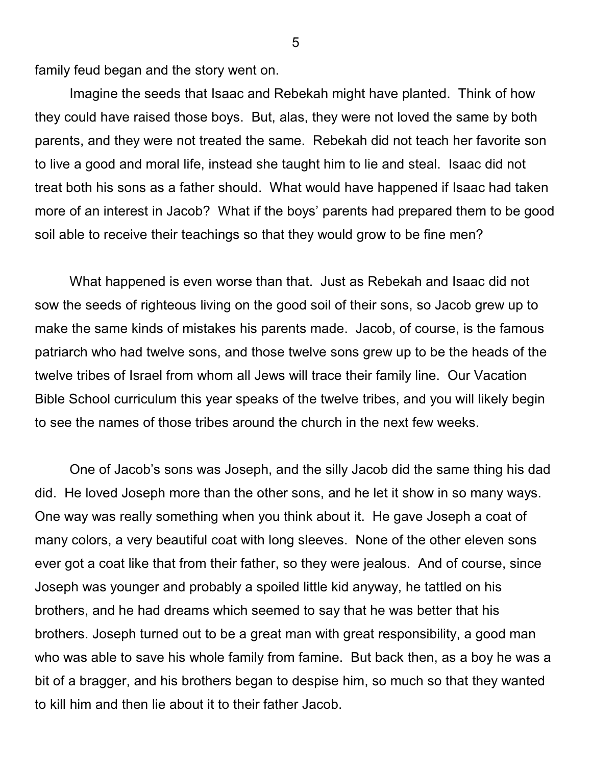family feud began and the story went on.

Imagine the seeds that Isaac and Rebekah might have planted. Think of how they could have raised those boys. But, alas, they were not loved the same by both parents, and they were not treated the same. Rebekah did not teach her favorite son to live a good and moral life, instead she taught him to lie and steal. Isaac did not treat both his sons as a father should. What would have happened if Isaac had taken more of an interest in Jacob? What if the boys' parents had prepared them to be good soil able to receive their teachings so that they would grow to be fine men?

What happened is even worse than that. Just as Rebekah and Isaac did not sow the seeds of righteous living on the good soil of their sons, so Jacob grew up to make the same kinds of mistakes his parents made. Jacob, of course, is the famous patriarch who had twelve sons, and those twelve sons grew up to be the heads of the twelve tribes of Israel from whom all Jews will trace their family line. Our Vacation Bible School curriculum this year speaks of the twelve tribes, and you will likely begin to see the names of those tribes around the church in the next few weeks.

One of Jacob's sons was Joseph, and the silly Jacob did the same thing his dad did. He loved Joseph more than the other sons, and he let it show in so many ways. One way was really something when you think about it. He gave Joseph a coat of many colors, a very beautiful coat with long sleeves. None of the other eleven sons ever got a coat like that from their father, so they were jealous. And of course, since Joseph was younger and probably a spoiled little kid anyway, he tattled on his brothers, and he had dreams which seemed to say that he was better that his brothers. Joseph turned out to be a great man with great responsibility, a good man who was able to save his whole family from famine. But back then, as a boy he was a bit of a bragger, and his brothers began to despise him, so much so that they wanted to kill him and then lie about it to their father Jacob.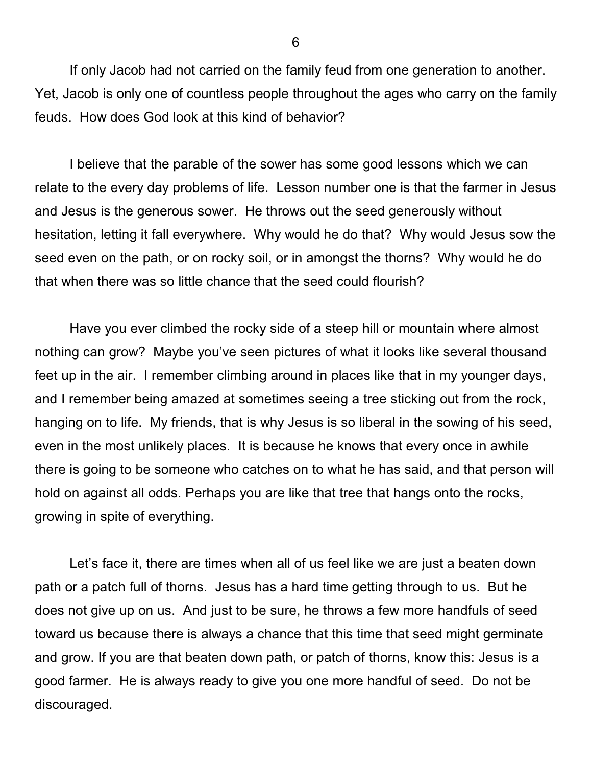If only Jacob had not carried on the family feud from one generation to another. Yet, Jacob is only one of countless people throughout the ages who carry on the family feuds. How does God look at this kind of behavior?

I believe that the parable of the sower has some good lessons which we can relate to the every day problems of life. Lesson number one is that the farmer in Jesus and Jesus is the generous sower. He throws out the seed generously without hesitation, letting it fall everywhere. Why would he do that? Why would Jesus sow the seed even on the path, or on rocky soil, or in amongst the thorns? Why would he do that when there was so little chance that the seed could flourish?

Have you ever climbed the rocky side of a steep hill or mountain where almost nothing can grow? Maybe you've seen pictures of what it looks like several thousand feet up in the air. I remember climbing around in places like that in my younger days, and I remember being amazed at sometimes seeing a tree sticking out from the rock, hanging on to life. My friends, that is why Jesus is so liberal in the sowing of his seed, even in the most unlikely places. It is because he knows that every once in awhile there is going to be someone who catches on to what he has said, and that person will hold on against all odds. Perhaps you are like that tree that hangs onto the rocks, growing in spite of everything.

Let's face it, there are times when all of us feel like we are just a beaten down path or a patch full of thorns. Jesus has a hard time getting through to us. But he does not give up on us. And just to be sure, he throws a few more handfuls of seed toward us because there is always a chance that this time that seed might germinate and grow. If you are that beaten down path, or patch of thorns, know this: Jesus is a good farmer. He is always ready to give you one more handful of seed. Do not be discouraged.